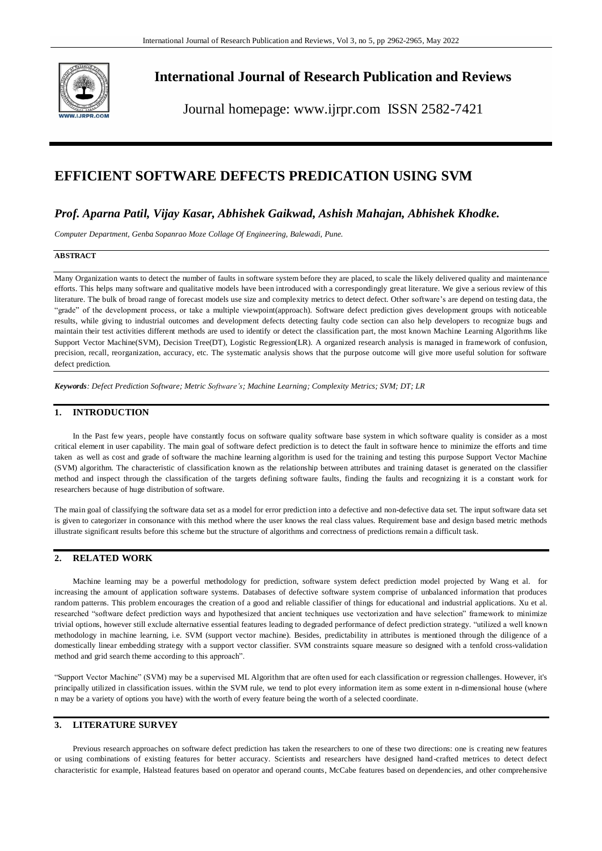

# **International Journal of Research Publication and Reviews**

Journal homepage: www.ijrpr.com ISSN 2582-7421

# **EFFICIENT SOFTWARE DEFECTS PREDICATION USING SVM**

# *Prof. Aparna Patil, Vijay Kasar, Abhishek Gaikwad, Ashish Mahajan, Abhishek Khodke.*

*Computer Department, Genba Sopanrao Moze Collage Of Engineering, Balewadi, Pune.*

#### **ABSTRACT**

Many Organization wants to detect the number of faults in software system before they are placed, to scale the likely delivered quality and maintenance efforts. This helps many software and qualitative models have been introduced with a correspondingly great literature. We give a serious review of this literature. The bulk of broad range of forecast models use size and complexity metrics to detect defect. Other software's are depend on testing data, the "grade" of the development process, or take a multiple viewpoint(approach). Software defect prediction gives development groups with noticeable results, while giving to industrial outcomes and development defects detecting faulty code section can also help developers to recognize bugs and maintain their test activities different methods are used to identify or detect the classification part, the most known Machine Learning Algorithms like Support Vector Machine(SVM), Decision Tree(DT), Logistic Regression(LR). A organized research analysis is managed in framework of confusion, precision, recall, reorganization, accuracy, etc. The systematic analysis shows that the purpose outcome will give more useful solution for software defect prediction.

*Keywords: Defect Prediction Software; Metric Software's; Machine Learning; Complexity Metrics; SVM; DT; LR*

# **1. INTRODUCTION**

In the Past few years, people have constantly focus on software quality software base system in which software quality is consider as a most critical element in user capability. The main goal of software defect prediction is to detect the fault in software hence to minimize the efforts and time taken as well as cost and grade of software the machine learning algorithm is used for the training and testing this purpose Support Vector Machine (SVM) algorithm. The characteristic of classification known as the relationship between attributes and training dataset is generated on the classifier method and inspect through the classification of the targets defining software faults, finding the faults and recognizing it is a constant work for researchers because of huge distribution of software.

The main goal of classifying the software data set as a model for error prediction into a defective and non-defective data set. The input software data set is given to categorizer in consonance with this method where the user knows the real class values. Requirement base and design based metric methods illustrate significant results before this scheme but the structure of algorithms and correctness of predictions remain a difficult task.

# **2. RELATED WORK**

Machine learning may be a powerful methodology for prediction, software system defect prediction model projected by Wang et al. for increasing the amount of application software systems. Databases of defective software system comprise of unbalanced information that produces random patterns. This problem encourages the creation of a good and reliable classifier of things for educational and industrial applications. Xu et al. researched "software defect prediction ways and hypothesized that ancient techniques use vectorization and have selection" framework to minimize trivial options, however still exclude alternative essential features leading to degraded performance of defect prediction strategy. "utilized a well known methodology in machine learning, i.e. SVM (support vector machine). Besides, predictability in attributes is mentioned through the diligence of a domestically linear embedding strategy with a support vector classifier. SVM constraints square measure so designed with a tenfold cross-validation method and grid search theme according to this approach".

"Support Vector Machine" (SVM) may be a supervised ML Algorithm that are often used for each classification or regression challenges. However, it's principally utilized in classification issues. within the SVM rule, we tend to plot every information item as some extent in n-dimensional house (where n may be a variety of options you have) with the worth of every feature being the worth of a selected coordinate*.*

## **3. LITERATURE SURVEY**

Previous research approaches on software defect prediction has taken the researchers to one of these two directions: one is creating new features or using combinations of existing features for better accuracy. Scientists and researchers have designed hand-crafted metrices to detect defect characteristic for example, Halstead features based on operator and operand counts, McCabe features based on dependencies, and other comprehensive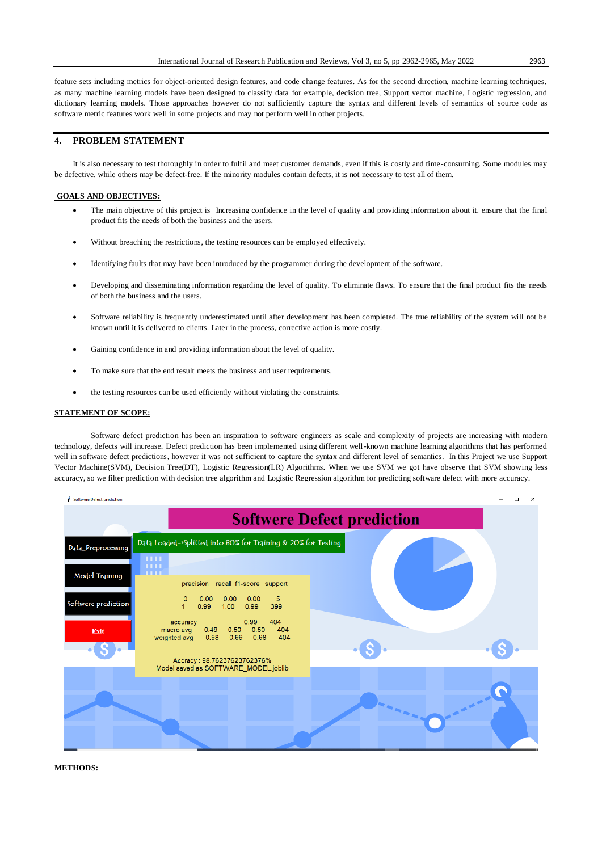feature sets including metrics for object-oriented design features, and code change features. As for the second direction, machine learning techniques, as many machine learning models have been designed to classify data for example, decision tree, Support vector machine, Logistic regression, and dictionary learning models. Those approaches however do not sufficiently capture the syntax and different levels of semantics of source code as software metric features work well in some projects and may not perform well in other projects.

## **4. PROBLEM STATEMENT**

It is also necessary to test thoroughly in order to fulfil and meet customer demands, even if this is costly and time-consuming. Some modules may be defective, while others may be defect-free. If the minority modules contain defects, it is not necessary to test all of them.

#### **GOALS AND OBJECTIVES:**

- The main objective of this project is Increasing confidence in the level of quality and providing information about it. ensure that the final product fits the needs of both the business and the users.
- Without breaching the restrictions, the testing resources can be employed effectively.
- Identifying faults that may have been introduced by the programmer during the development of the software.
- Developing and disseminating information regarding the level of quality. To eliminate flaws. To ensure that the final product fits the needs of both the business and the users.
- Software reliability is frequently underestimated until after development has been completed. The true reliability of the system will not be known until it is delivered to clients. Later in the process, corrective action is more costly.
- Gaining confidence in and providing information about the level of quality.
- To make sure that the end result meets the business and user requirements.
- the testing resources can be used efficiently without violating the constraints.

#### **STATEMENT OF SCOPE:**

Software defect prediction has been an inspiration to software engineers as scale and complexity of projects are increasing with modern technology, defects will increase. Defect prediction has been implemented using different well-known machine learning algorithms that has performed well in software defect predictions, however it was not sufficient to capture the syntax and different level of semantics. In this Project we use Support Vector Machine(SVM), Decision Tree(DT), Logistic Regression(LR) Algorithms. When we use SVM we got have observe that SVM showing less accuracy, so we filter prediction with decision tree algorithm and Logistic Regression algorithm for predicting software defect with more accuracy.



#### **METHODS:**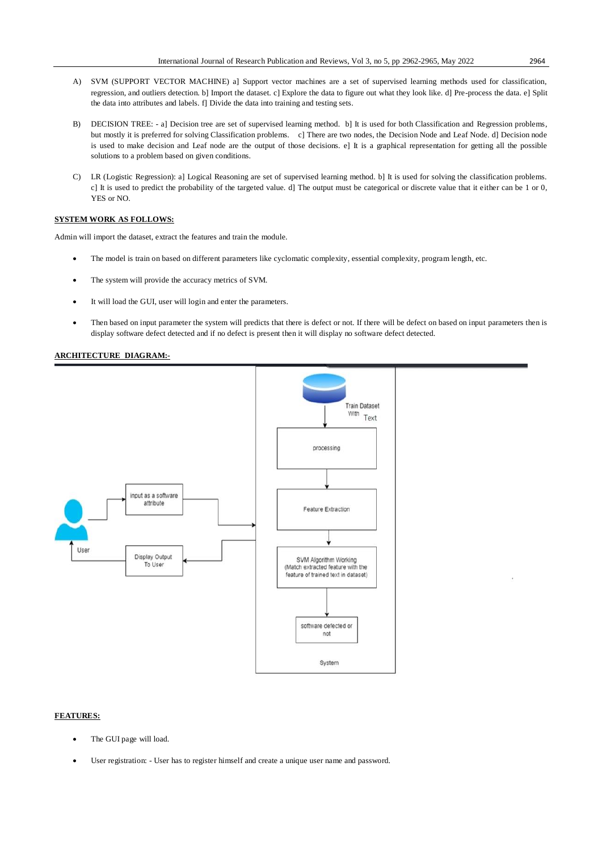- A) SVM (SUPPORT VECTOR MACHINE) a] Support vector machines are a set of supervised learning methods used for classification, regression, and outliers detection. b] Import the dataset. c] Explore the data to figure out what they look like. d] Pre-process the data. e] Split the data into attributes and labels. f] Divide the data into training and testing sets.
- B) DECISION TREE: a] Decision tree are set of supervised learning method. b] It is used for both Classification and Regression problems, but mostly it is preferred for solving Classification problems. c] There are two nodes, the Decision Node and Leaf Node. d] Decision node is used to make decision and Leaf node are the output of those decisions. e] It is a graphical representation for getting all the possible solutions to a problem based on given conditions.
- C) LR (Logistic Regression): a] Logical Reasoning are set of supervised learning method. b] It is used for solving the classification problems. c] It is used to predict the probability of the targeted value. d] The output must be categorical or discrete value that it either can be 1 or 0, YES or NO.

## **SYSTEM WORK AS FOLLOWS:**

Admin will import the dataset, extract the features and train the module.

- The model is train on based on different parameters like cyclomatic complexity, essential complexity, program length, etc.
- The system will provide the accuracy metrics of SVM.
- It will load the GUI, user will login and enter the parameters.
- Then based on input parameter the system will predicts that there is defect or not. If there will be defect on based on input parameters then is display software defect detected and if no defect is present then it will display no software defect detected.

## **ARCHITECTURE DIAGRAM:-**



### **FEATURES:**

- The GUI page will load.
- User registration: User has to register himself and create a unique user name and password.